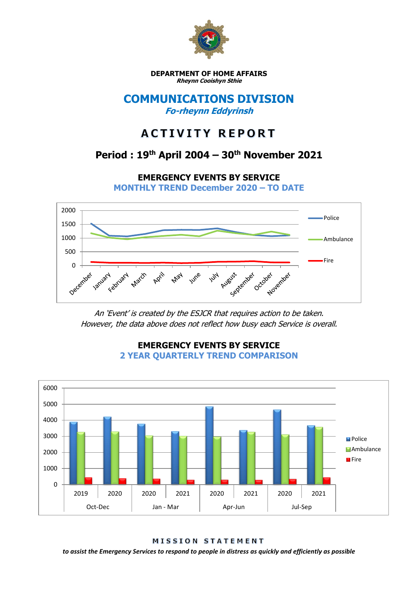

**DEPARTMENT OF HOME AFFAIRS Rheynn Cooishyn Sthie**

### **COMMUNICATIONS DIVISION Fo-rheynn Eddyrinsh**

# **ACTIVITY REPORT**

## **Period : 19th April 2004 – 30th November 2021**

**EMERGENCY EVENTS BY SERVICE**

**MONTHLY TREND December 2020 – TO DATE**



An 'Event' is created by the ESJCR that requires action to be taken. However, the data above does not reflect how busy each Service is overall.



**EMERGENCY EVENTS BY SERVICE 2 YEAR QUARTERLY TREND COMPARISON**

MISSION STATEMENT

*to assist the Emergency Services to respond to people in distress as quickly and efficiently as possible*